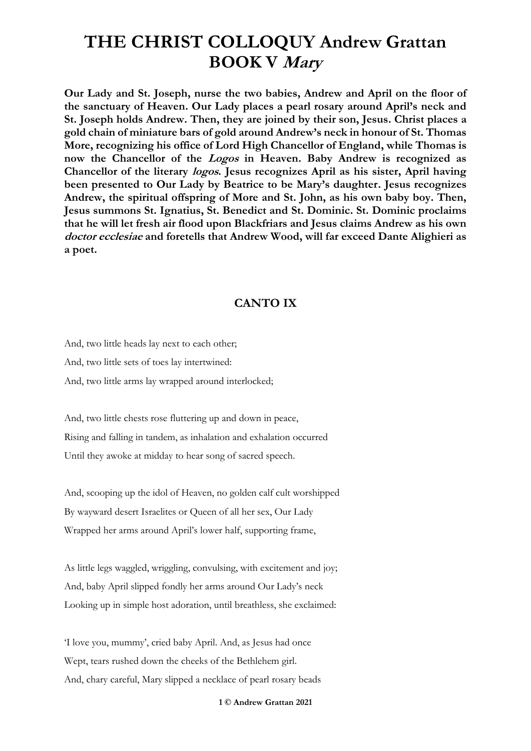**Our Lady and St. Joseph, nurse the two babies, Andrew and April on the floor of the sanctuary of Heaven. Our Lady places a pearl rosary around April's neck and St. Joseph holds Andrew. Then, they are joined by their son, Jesus. Christ places a gold chain of miniature bars of gold around Andrew's neck in honour of St. Thomas More, recognizing his office of Lord High Chancellor of England, while Thomas is now the Chancellor of the Logos in Heaven. Baby Andrew is recognized as Chancellor of the literary logos. Jesus recognizes April as his sister, April having been presented to Our Lady by Beatrice to be Mary's daughter. Jesus recognizes Andrew, the spiritual offspring of More and St. John, as his own baby boy. Then, Jesus summons St. Ignatius, St. Benedict and St. Dominic. St. Dominic proclaims that he will let fresh air flood upon Blackfriars and Jesus claims Andrew as his own doctor ecclesiae and foretells that Andrew Wood, will far exceed Dante Alighieri as a poet.**

#### **CANTO IX**

And, two little heads lay next to each other; And, two little sets of toes lay intertwined: And, two little arms lay wrapped around interlocked;

And, two little chests rose fluttering up and down in peace, Rising and falling in tandem, as inhalation and exhalation occurred Until they awoke at midday to hear song of sacred speech.

And, scooping up the idol of Heaven, no golden calf cult worshipped By wayward desert Israelites or Queen of all her sex, Our Lady Wrapped her arms around April's lower half, supporting frame,

As little legs waggled, wriggling, convulsing, with excitement and joy; And, baby April slipped fondly her arms around Our Lady's neck Looking up in simple host adoration, until breathless, she exclaimed:

'I love you, mummy', cried baby April. And, as Jesus had once Wept, tears rushed down the cheeks of the Bethlehem girl. And, chary careful, Mary slipped a necklace of pearl rosary beads

**1 © Andrew Grattan 2021**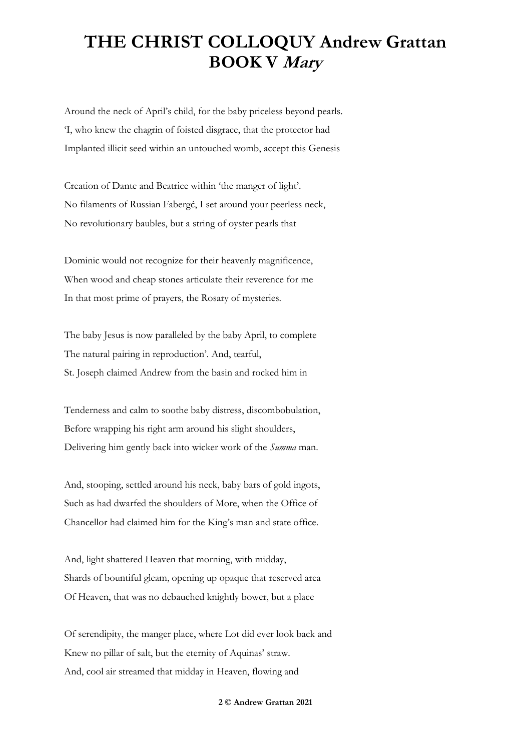Around the neck of April's child, for the baby priceless beyond pearls. 'I, who knew the chagrin of foisted disgrace, that the protector had Implanted illicit seed within an untouched womb, accept this Genesis

Creation of Dante and Beatrice within 'the manger of light'. No filaments of Russian Fabergć, I set around your peerless neck, No revolutionary baubles, but a string of oyster pearls that

Dominic would not recognize for their heavenly magnificence, When wood and cheap stones articulate their reverence for me In that most prime of prayers, the Rosary of mysteries.

The baby Jesus is now paralleled by the baby April, to complete The natural pairing in reproduction'. And, tearful, St. Joseph claimed Andrew from the basin and rocked him in

Tenderness and calm to soothe baby distress, discombobulation, Before wrapping his right arm around his slight shoulders, Delivering him gently back into wicker work of the *Summa* man.

And, stooping, settled around his neck, baby bars of gold ingots, Such as had dwarfed the shoulders of More, when the Office of Chancellor had claimed him for the King's man and state office.

And, light shattered Heaven that morning, with midday, Shards of bountiful gleam, opening up opaque that reserved area Of Heaven, that was no debauched knightly bower, but a place

Of serendipity, the manger place, where Lot did ever look back and Knew no pillar of salt, but the eternity of Aquinas' straw. And, cool air streamed that midday in Heaven, flowing and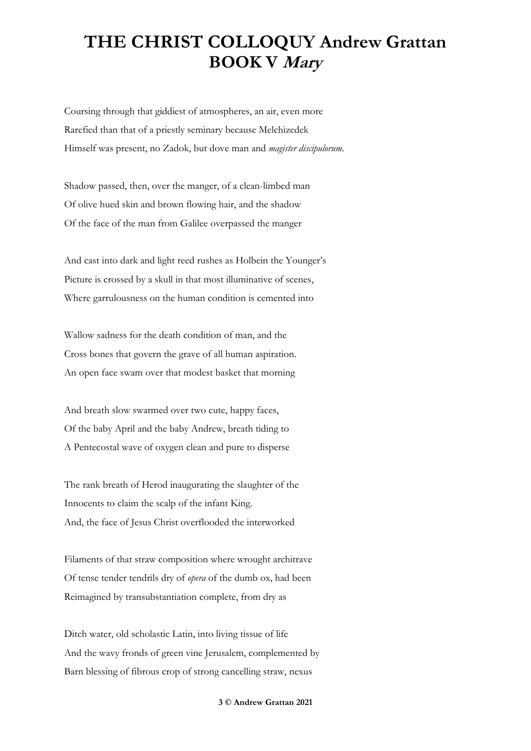Coursing through that giddiest of atmospheres, an air, even more Rarefied than that of a priestly seminary because Melchizedek Himself was present, no Zadok, but dove man and *magister discipulorum*.

Shadow passed, then, over the manger, of a clean-limbed man Of olive hued skin and brown flowing hair, and the shadow Of the face of the man from Galilee overpassed the manger

And cast into dark and light reed rushes as Holbein the Younger's Picture is crossed by a skull in that most illuminative of scenes, Where garrulousness on the human condition is cemented into

Wallow sadness for the death condition of man, and the Cross bones that govern the grave of all human aspiration. An open face swam over that modest basket that morning

And breath slow swarmed over two cute, happy faces, Of the baby April and the baby Andrew, breath tiding to A Pentecostal wave of oxygen clean and pure to disperse

The rank breath of Herod inaugurating the slaughter of the Innocents to claim the scalp of the infant King. And, the face of Jesus Christ overflooded the interworked

Filaments of that straw composition where wrought architrave Of tense tender tendrils dry of *opera* of the dumb ox, had been Reimagined by transubstantiation complete, from dry as

Ditch water, old scholastic Latin, into living tissue of life And the wavy fronds of green vine Jerusalem, complemented by Barn blessing of fibrous crop of strong cancelling straw, nexus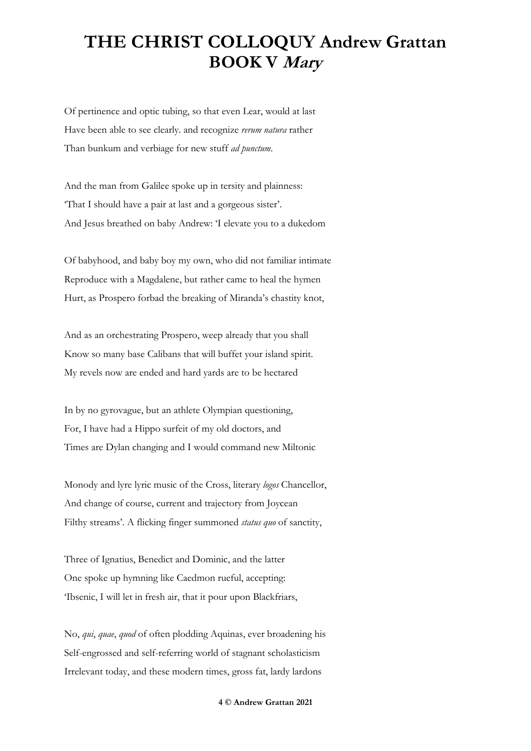Of pertinence and optic tubing, so that even Lear, would at last Have been able to see clearly. and recognize *rerum natura* rather Than bunkum and verbiage for new stuff *ad punctum*.

And the man from Galilee spoke up in tersity and plainness: 'That I should have a pair at last and a gorgeous sister'. And Jesus breathed on baby Andrew: 'I elevate you to a dukedom

Of babyhood, and baby boy my own, who did not familiar intimate Reproduce with a Magdalene, but rather came to heal the hymen Hurt, as Prospero forbad the breaking of Miranda's chastity knot,

And as an orchestrating Prospero, weep already that you shall Know so many base Calibans that will buffet your island spirit. My revels now are ended and hard yards are to be hectared

In by no gyrovague, but an athlete Olympian questioning, For, I have had a Hippo surfeit of my old doctors, and Times are Dylan changing and I would command new Miltonic

Monody and lyre lyric music of the Cross, literary *logos* Chancellor, And change of course, current and trajectory from Joycean Filthy streams'. A flicking finger summoned *status quo* of sanctity,

Three of Ignatius, Benedict and Dominic, and the latter One spoke up hymning like Caedmon rueful, accepting: 'Ibsenic, I will let in fresh air, that it pour upon Blackfriars,

No, *qui*, *quae*, *quod* of often plodding Aquinas, ever broadening his Self-engrossed and self-referring world of stagnant scholasticism Irrelevant today, and these modern times, gross fat, lardy lardons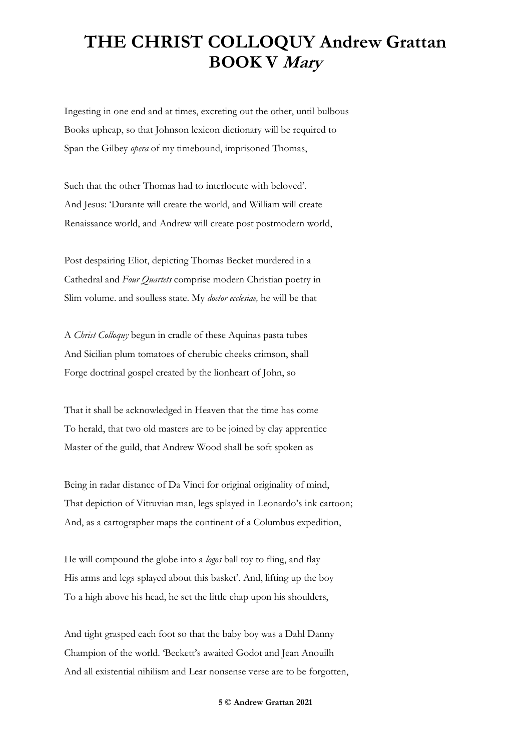Ingesting in one end and at times, excreting out the other, until bulbous Books upheap, so that Johnson lexicon dictionary will be required to Span the Gilbey *opera* of my timebound, imprisoned Thomas,

Such that the other Thomas had to interlocute with beloved'. And Jesus: 'Durante will create the world, and William will create Renaissance world, and Andrew will create post postmodern world,

Post despairing Eliot, depicting Thomas Becket murdered in a Cathedral and *Four Quartets* comprise modern Christian poetry in Slim volume. and soulless state. My *doctor ecclesiae,* he will be that

A *Christ Colloquy* begun in cradle of these Aquinas pasta tubes And Sicilian plum tomatoes of cherubic cheeks crimson, shall Forge doctrinal gospel created by the lionheart of John, so

That it shall be acknowledged in Heaven that the time has come To herald, that two old masters are to be joined by clay apprentice Master of the guild, that Andrew Wood shall be soft spoken as

Being in radar distance of Da Vinci for original originality of mind, That depiction of Vitruvian man, legs splayed in Leonardo's ink cartoon; And, as a cartographer maps the continent of a Columbus expedition,

He will compound the globe into a *logos* ball toy to fling, and flay His arms and legs splayed about this basket'. And, lifting up the boy To a high above his head, he set the little chap upon his shoulders,

And tight grasped each foot so that the baby boy was a Dahl Danny Champion of the world. 'Beckett's awaited Godot and Jean Anouilh And all existential nihilism and Lear nonsense verse are to be forgotten,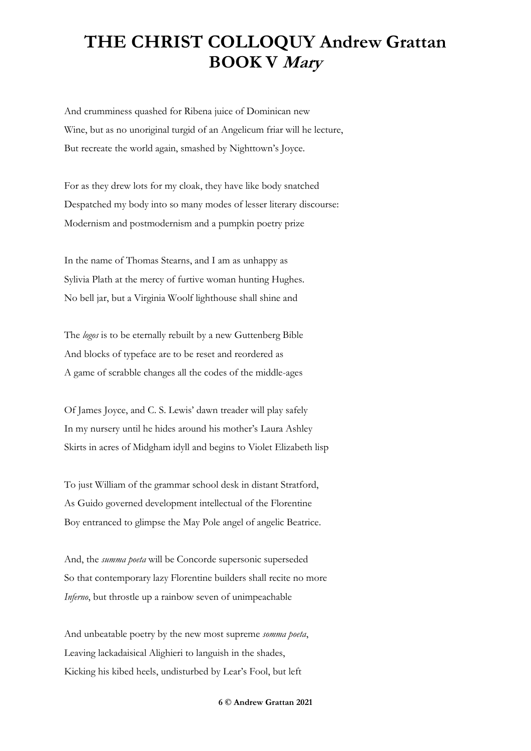And crumminess quashed for Ribena juice of Dominican new Wine, but as no unoriginal turgid of an Angelicum friar will he lecture, But recreate the world again, smashed by Nighttown's Joyce.

For as they drew lots for my cloak, they have like body snatched Despatched my body into so many modes of lesser literary discourse: Modernism and postmodernism and a pumpkin poetry prize

In the name of Thomas Stearns, and I am as unhappy as Sylivia Plath at the mercy of furtive woman hunting Hughes. No bell jar, but a Virginia Woolf lighthouse shall shine and

The *logos* is to be eternally rebuilt by a new Guttenberg Bible And blocks of typeface are to be reset and reordered as A game of scrabble changes all the codes of the middle-ages

Of James Joyce, and C. S. Lewis' dawn treader will play safely In my nursery until he hides around his mother's Laura Ashley Skirts in acres of Midgham idyll and begins to Violet Elizabeth lisp

To just William of the grammar school desk in distant Stratford, As Guido governed development intellectual of the Florentine Boy entranced to glimpse the May Pole angel of angelic Beatrice.

And, the *summa poeta* will be Concorde supersonic superseded So that contemporary lazy Florentine builders shall recite no more *Inferno*, but throstle up a rainbow seven of unimpeachable

And unbeatable poetry by the new most supreme *somma poeta*, Leaving lackadaisical Alighieri to languish in the shades, Kicking his kibed heels, undisturbed by Lear's Fool, but left